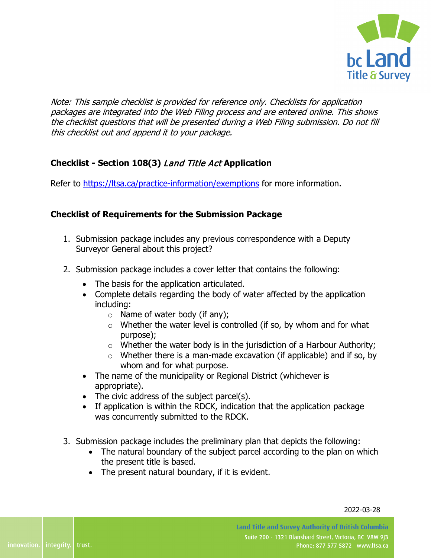

Note: This sample checklist is provided for reference only. Checklists for application packages are integrated into the Web Filing process and are entered online. This shows the checklist questions that will be presented during a Web Filing submission. Do not fill this checklist out and append it to your package.

## **Checklist - Section 108(3)** Land Title Act **Application**

Refer to<https://ltsa.ca/practice-information/exemptions> for more information.

## **Checklist of Requirements for the Submission Package**

- 1. Submission package includes any previous correspondence with a Deputy Surveyor General about this project?
- 2. Submission package includes a cover letter that contains the following:
	- The basis for the application articulated.
	- Complete details regarding the body of water affected by the application including:
		- $\circ$  Name of water body (if any);
		- $\circ$  Whether the water level is controlled (if so, by whom and for what purpose);
		- $\circ$  Whether the water body is in the jurisdiction of a Harbour Authority;
		- $\circ$  Whether there is a man-made excavation (if applicable) and if so, by whom and for what purpose.
	- The name of the municipality or Regional District (whichever is appropriate).
	- The civic address of the subject parcel(s).
	- If application is within the RDCK, indication that the application package was concurrently submitted to the RDCK.
- 3. Submission package includes the preliminary plan that depicts the following:
	- The natural boundary of the subject parcel according to the plan on which the present title is based.
	- The present natural boundary, if it is evident.

2022-03-28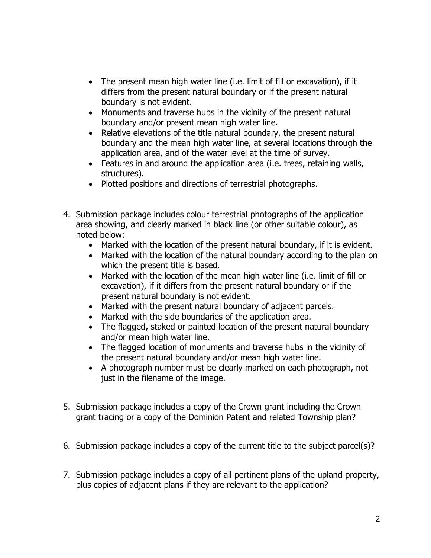- The present mean high water line (i.e. limit of fill or excavation), if it differs from the present natural boundary or if the present natural boundary is not evident.
- Monuments and traverse hubs in the vicinity of the present natural boundary and/or present mean high water line.
- Relative elevations of the title natural boundary, the present natural boundary and the mean high water line, at several locations through the application area, and of the water level at the time of survey.
- Features in and around the application area (i.e. trees, retaining walls, structures).
- Plotted positions and directions of terrestrial photographs.
- 4. Submission package includes colour terrestrial photographs of the application area showing, and clearly marked in black line (or other suitable colour), as noted below:
	- Marked with the location of the present natural boundary, if it is evident.
	- Marked with the location of the natural boundary according to the plan on which the present title is based.
	- Marked with the location of the mean high water line (i.e. limit of fill or excavation), if it differs from the present natural boundary or if the present natural boundary is not evident.
	- Marked with the present natural boundary of adjacent parcels.
	- Marked with the side boundaries of the application area.
	- The flagged, staked or painted location of the present natural boundary and/or mean high water line.
	- The flagged location of monuments and traverse hubs in the vicinity of the present natural boundary and/or mean high water line.
	- A photograph number must be clearly marked on each photograph, not just in the filename of the image.
- 5. Submission package includes a copy of the Crown grant including the Crown grant tracing or a copy of the Dominion Patent and related Township plan?
- 6. Submission package includes a copy of the current title to the subject parcel(s)?
- 7. Submission package includes a copy of all pertinent plans of the upland property, plus copies of adjacent plans if they are relevant to the application?